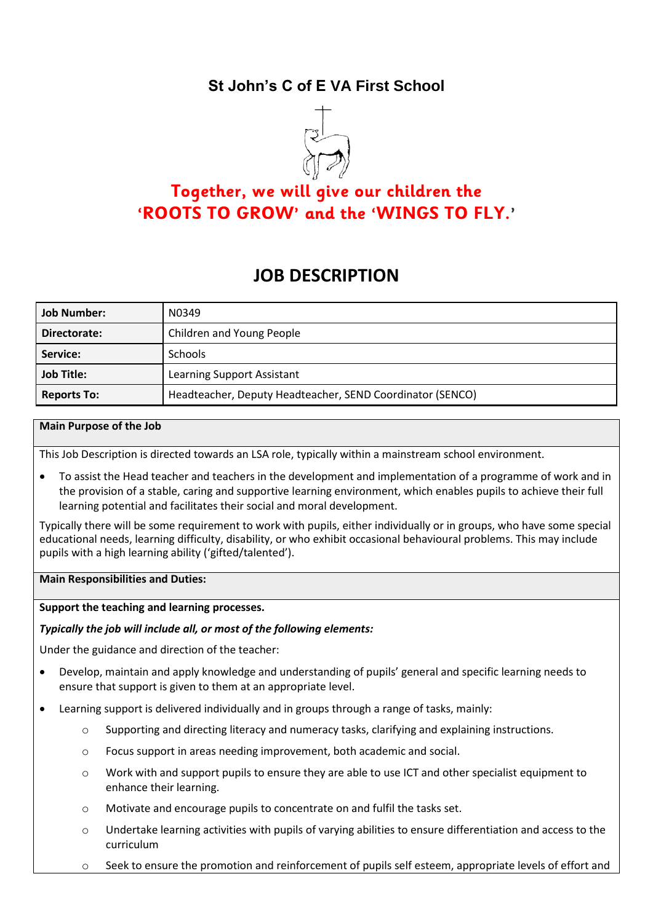## **St John's C of E VA First School**



# **Together, we will give our children the 'ROOTS TO GROW' and the 'WINGS TO FLY.'**

# **JOB DESCRIPTION**

| <b>Job Number:</b> | N0349                                                     |
|--------------------|-----------------------------------------------------------|
| Directorate:       | Children and Young People                                 |
| Service:           | <b>Schools</b>                                            |
| <b>Job Title:</b>  | Learning Support Assistant                                |
| <b>Reports To:</b> | Headteacher, Deputy Headteacher, SEND Coordinator (SENCO) |

#### **Main Purpose of the Job**

This Job Description is directed towards an LSA role, typically within a mainstream school environment.

• To assist the Head teacher and teachers in the development and implementation of a programme of work and in the provision of a stable, caring and supportive learning environment, which enables pupils to achieve their full learning potential and facilitates their social and moral development.

Typically there will be some requirement to work with pupils, either individually or in groups, who have some special educational needs, learning difficulty, disability, or who exhibit occasional behavioural problems. This may include pupils with a high learning ability ('gifted/talented').

#### **Main Responsibilities and Duties:**

**Support the teaching and learning processes.**

#### *Typically the job will include all, or most of the following elements:*

Under the guidance and direction of the teacher:

- Develop, maintain and apply knowledge and understanding of pupils' general and specific learning needs to ensure that support is given to them at an appropriate level.
- Learning support is delivered individually and in groups through a range of tasks, mainly:
	- o Supporting and directing literacy and numeracy tasks, clarifying and explaining instructions.
	- o Focus support in areas needing improvement, both academic and social.
	- o Work with and support pupils to ensure they are able to use ICT and other specialist equipment to enhance their learning.
	- o Motivate and encourage pupils to concentrate on and fulfil the tasks set.
	- o Undertake learning activities with pupils of varying abilities to ensure differentiation and access to the curriculum
	- $\circ$  Seek to ensure the promotion and reinforcement of pupils self esteem, appropriate levels of effort and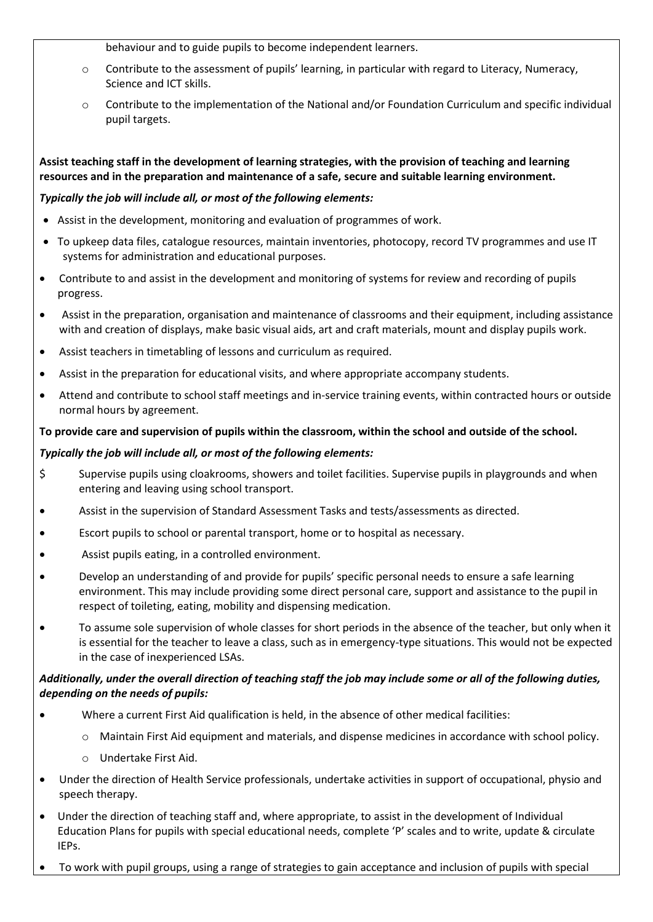behaviour and to guide pupils to become independent learners.

- o Contribute to the assessment of pupils' learning, in particular with regard to Literacy, Numeracy, Science and ICT skills.
- o Contribute to the implementation of the National and/or Foundation Curriculum and specific individual pupil targets.

**Assist teaching staff in the development of learning strategies, with the provision of teaching and learning resources and in the preparation and maintenance of a safe, secure and suitable learning environment.**

## *Typically the job will include all, or most of the following elements:*

- Assist in the development, monitoring and evaluation of programmes of work.
- To upkeep data files, catalogue resources, maintain inventories, photocopy, record TV programmes and use IT systems for administration and educational purposes.
- Contribute to and assist in the development and monitoring of systems for review and recording of pupils progress.
- Assist in the preparation, organisation and maintenance of classrooms and their equipment, including assistance with and creation of displays, make basic visual aids, art and craft materials, mount and display pupils work.
- Assist teachers in timetabling of lessons and curriculum as required.
- Assist in the preparation for educational visits, and where appropriate accompany students.
- Attend and contribute to school staff meetings and in-service training events, within contracted hours or outside normal hours by agreement.

## **To provide care and supervision of pupils within the classroom, within the school and outside of the school.**

## *Typically the job will include all, or most of the following elements:*

- \$ Supervise pupils using cloakrooms, showers and toilet facilities. Supervise pupils in playgrounds and when entering and leaving using school transport.
- Assist in the supervision of Standard Assessment Tasks and tests/assessments as directed.
- Escort pupils to school or parental transport, home or to hospital as necessary.
- Assist pupils eating, in a controlled environment.
- Develop an understanding of and provide for pupils' specific personal needs to ensure a safe learning environment. This may include providing some direct personal care, support and assistance to the pupil in respect of toileting, eating, mobility and dispensing medication.
- To assume sole supervision of whole classes for short periods in the absence of the teacher, but only when it is essential for the teacher to leave a class, such as in emergency-type situations. This would not be expected in the case of inexperienced LSAs.

## *Additionally, under the overall direction of teaching staff the job may include some or all of the following duties, depending on the needs of pupils:*

- Where a current First Aid qualification is held, in the absence of other medical facilities:
	- o Maintain First Aid equipment and materials, and dispense medicines in accordance with school policy.
	- o Undertake First Aid.
- Under the direction of Health Service professionals, undertake activities in support of occupational, physio and speech therapy.
- Under the direction of teaching staff and, where appropriate, to assist in the development of Individual Education Plans for pupils with special educational needs, complete 'P' scales and to write, update & circulate IEPs.
- To work with pupil groups, using a range of strategies to gain acceptance and inclusion of pupils with special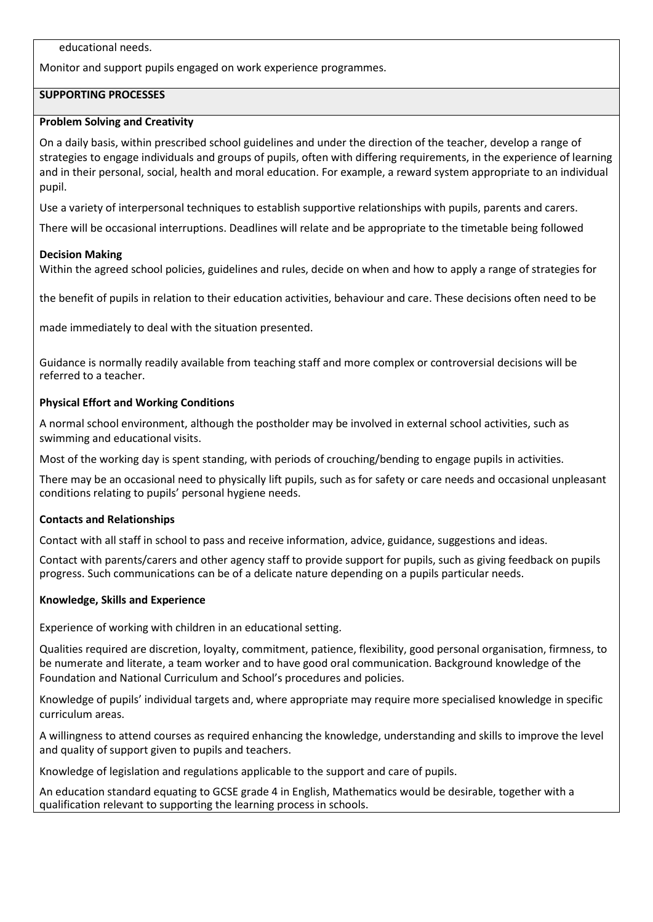educational needs.

Monitor and support pupils engaged on work experience programmes.

## **SUPPORTING PROCESSES**

### **Problem Solving and Creativity**

On a daily basis, within prescribed school guidelines and under the direction of the teacher, develop a range of strategies to engage individuals and groups of pupils, often with differing requirements, in the experience of learning and in their personal, social, health and moral education. For example, a reward system appropriate to an individual pupil.

Use a variety of interpersonal techniques to establish supportive relationships with pupils, parents and carers.

There will be occasional interruptions. Deadlines will relate and be appropriate to the timetable being followed

#### **Decision Making**

Within the agreed school policies, guidelines and rules, decide on when and how to apply a range of strategies for

the benefit of pupils in relation to their education activities, behaviour and care. These decisions often need to be

made immediately to deal with the situation presented.

Guidance is normally readily available from teaching staff and more complex or controversial decisions will be referred to a teacher.

### **Physical Effort and Working Conditions**

A normal school environment, although the postholder may be involved in external school activities, such as swimming and educational visits.

Most of the working day is spent standing, with periods of crouching/bending to engage pupils in activities.

There may be an occasional need to physically lift pupils, such as for safety or care needs and occasional unpleasant conditions relating to pupils' personal hygiene needs.

## **Contacts and Relationships**

Contact with all staff in school to pass and receive information, advice, guidance, suggestions and ideas.

Contact with parents/carers and other agency staff to provide support for pupils, such as giving feedback on pupils progress. Such communications can be of a delicate nature depending on a pupils particular needs.

#### **Knowledge, Skills and Experience**

Experience of working with children in an educational setting.

Qualities required are discretion, loyalty, commitment, patience, flexibility, good personal organisation, firmness, to be numerate and literate, a team worker and to have good oral communication. Background knowledge of the Foundation and National Curriculum and School's procedures and policies.

Knowledge of pupils' individual targets and, where appropriate may require more specialised knowledge in specific curriculum areas.

A willingness to attend courses as required enhancing the knowledge, understanding and skills to improve the level and quality of support given to pupils and teachers.

Knowledge of legislation and regulations applicable to the support and care of pupils.

An education standard equating to GCSE grade 4 in English, Mathematics would be desirable, together with a qualification relevant to supporting the learning process in schools.